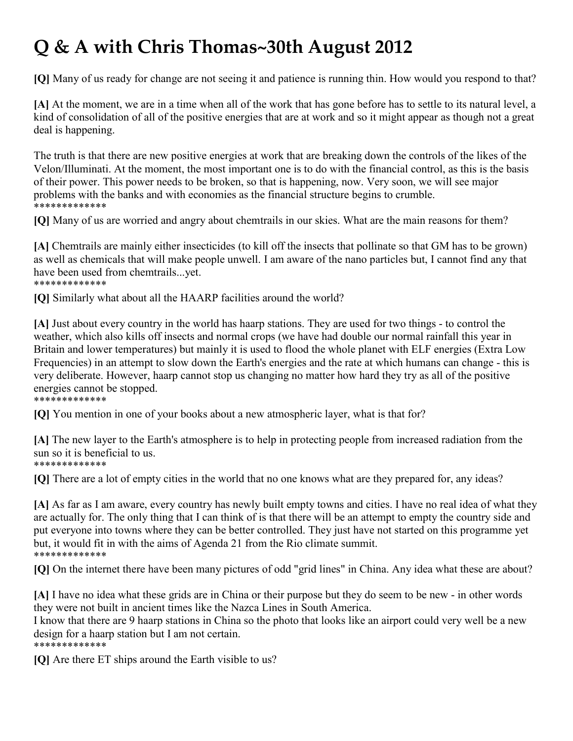## **Q & A with Chris Thomas~30th August 2012**

**[Q]** Many of us ready for change are not seeing it and patience is running thin. How would you respond to that?

**[A]** At the moment, we are in a time when all of the work that has gone before has to settle to its natural level, a kind of consolidation of all of the positive energies that are at work and so it might appear as though not a great deal is happening.

The truth is that there are new positive energies at work that are breaking down the controls of the likes of the Velon/Illuminati. At the moment, the most important one is to do with the financial control, as this is the basis of their power. This power needs to be broken, so that is happening, now. Very soon, we will see major problems with the banks and with economies as the financial structure begins to crumble. \*\*\*\*\*\*\*\*\*\*\*\*\*

**[Q]** Many of us are worried and angry about chemtrails in our skies. What are the main reasons for them?

**[A]** Chemtrails are mainly either insecticides (to kill off the insects that pollinate so that GM has to be grown) as well as chemicals that will make people unwell. I am aware of the nano particles but, I cannot find any that have been used from chemtrails...yet. \*\*\*\*\*\*\*\*\*\*\*\*\*

**[Q]** Similarly what about all the HAARP facilities around the world?

**[A]** Just about every country in the world has haarp stations. They are used for two things - to control the weather, which also kills off insects and normal crops (we have had double our normal rainfall this year in Britain and lower temperatures) but mainly it is used to flood the whole planet with ELF energies (Extra Low Frequencies) in an attempt to slow down the Earth's energies and the rate at which humans can change - this is very deliberate. However, haarp cannot stop us changing no matter how hard they try as all of the positive energies cannot be stopped.

\*\*\*\*\*\*\*\*\*\*\*\*\*

**[Q]** You mention in one of your books about a new atmospheric layer, what is that for?

**[A]** The new layer to the Earth's atmosphere is to help in protecting people from increased radiation from the sun so it is beneficial to us. \*\*\*\*\*\*\*\*\*\*\*\*\*

**[Q]** There are a lot of empty cities in the world that no one knows what are they prepared for, any ideas?

**[A]** As far as I am aware, every country has newly built empty towns and cities. I have no real idea of what they are actually for. The only thing that I can think of is that there will be an attempt to empty the country side and put everyone into towns where they can be better controlled. They just have not started on this programme yet but, it would fit in with the aims of Agenda 21 from the Rio climate summit. \*\*\*\*\*\*\*\*\*\*\*\*\*

**[Q]** On the internet there have been many pictures of odd "grid lines" in China. Any idea what these are about?

**[A]** I have no idea what these grids are in China or their purpose but they do seem to be new - in other words they were not built in ancient times like the Nazca Lines in South America.

I know that there are 9 haarp stations in China so the photo that looks like an airport could very well be a new design for a haarp station but I am not certain. \*\*\*\*\*\*\*\*\*\*\*\*\*

**[Q]** Are there ET ships around the Earth visible to us?